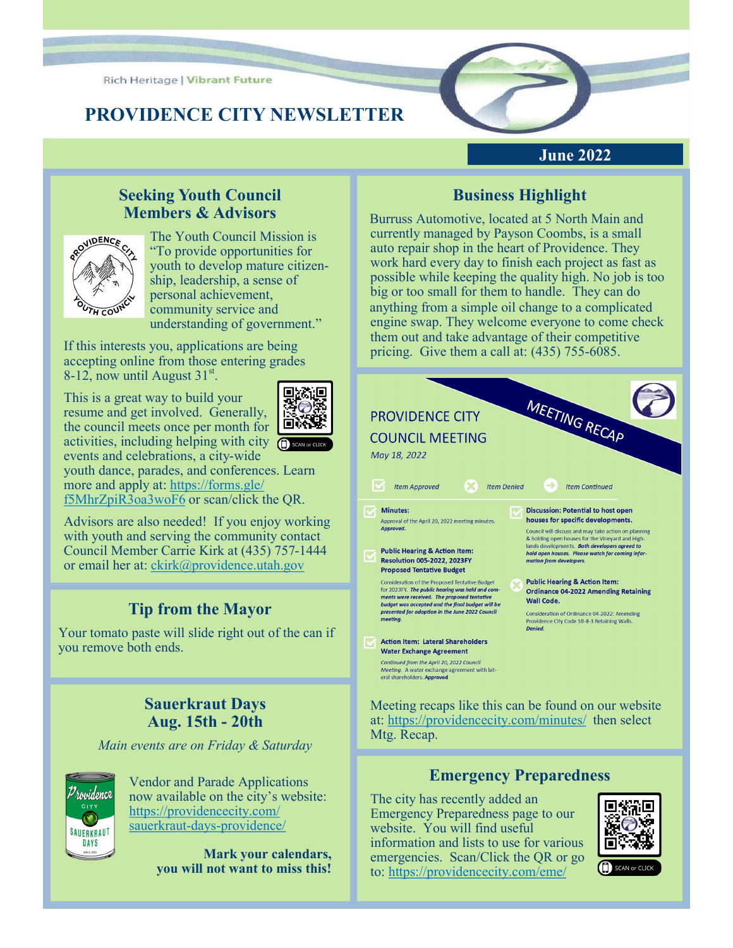**Rich Heritage | Vibrant Future** 

# **PROVIDENCE CITY NEWSLETTER**

# **June 2022**

#### **Seeking Youth Council Members & Advisors**



The Youth Council Mission is "To provide opportunities for youth to develop mature citizenship, leadership, a sense of personal achievement, community service and understanding of government."

If this interests you, applications are being accepting online from those entering grades 8-12, now until August  $31^{st}$ .

This is a great way to build your resume and get involved. Generally, the council meets once per month for activities, including helping with city  $\bigcap$  scan or c events and celebrations, a city-wide youth dance, parades, and conferences. Learn more and apply at: [https://forms.gle/](https://forms.gle/f5MhrZpiR3oa3woF6)



[f5MhrZpiR3oa3woF6](https://forms.gle/f5MhrZpiR3oa3woF6) or scan/click the QR.

Advisors are also needed! If you enjoy working with youth and serving the community contact Council Member Carrie Kirk at (435) 757-1444 or email her at: [ckirk@providence.utah.gov](mailto:ckirk@providence.utah.gov)

# **Tip from the Mayor**

Your tomato paste will slide right out of the can if you remove both ends.

#### **Sauerkraut Days Aug. 15th - 20th**

*Main events are on Friday & Saturday*



Vendor and Parade Applications now available on the city's website: [https://providencecity.com/](https://providencecity.com/sauerkraut-days-providence/) sauerkraut-days-[providence/](https://providencecity.com/sauerkraut-days-providence/)

> **Mark your calendars, you will not want to miss this!**

# **Business Highlight**

Burruss Automotive, located at 5 North Main and currently managed by Payson Coombs, is a small auto repair shop in the heart of Providence. They work hard every day to finish each project as fast as possible while keeping the quality high. No job is too big or too small for them to handle. They can do anything from a simple oil change to a complicated engine swap. They welcome everyone to come check them out and take advantage of their competitive pricing. Give them a call at: (435) 755-6085.



Meeting recaps like this can be found on our website at:<https://providencecity.com/minutes/> then select Mtg. Recap.

#### **Emergency Preparedness**

The city has recently added an Emergency Preparedness page to our website. You will find useful information and lists to use for various emergencies. Scan/Click the QR or go to: <https://providencecity.com/eme/>